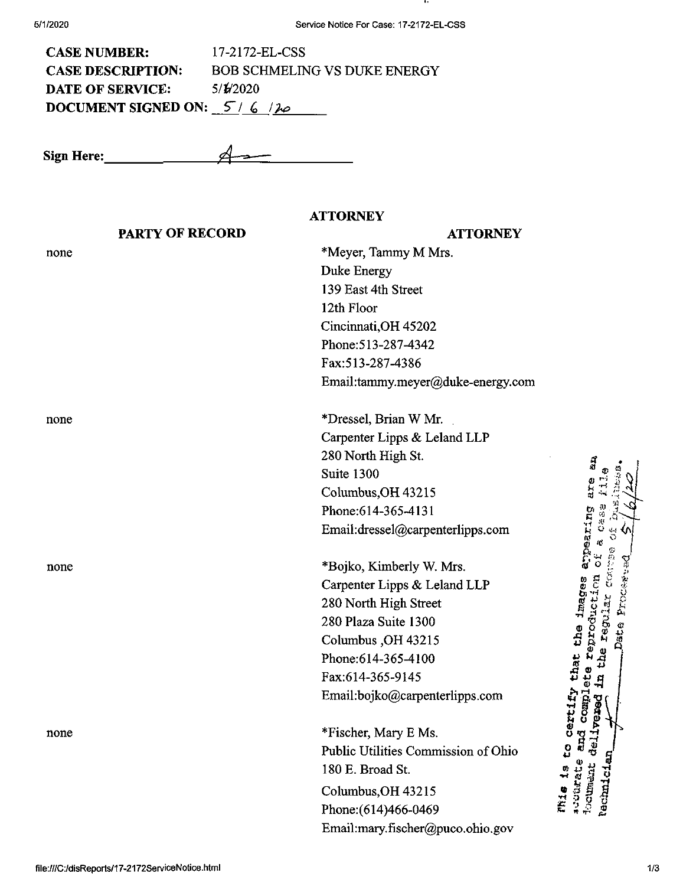| <b>CASE NUMBER:</b>           | 17-2172-EL-CSS                      |
|-------------------------------|-------------------------------------|
| <b>CASE DESCRIPTION:</b>      | <b>BOB SCHMELING VS DUKE ENERGY</b> |
| <b>DATE OF SERVICE:</b>       | 5/1/2020                            |
| DOCUMENT SIGNED ON: $5/6/120$ |                                     |

**Sign Here:\_ —**

## **PARTY OF RECORD** none **ATTORNEY ATTORNEY** \*Meyer, Tammy M Mrs. Duke Energy 139 East 4th Street 12th Floor Cincinnati,OH 45202 Phone:513-287-4342 Fax:513-287-4386 Email:tammy.meyer@duke-energy.com none none none \*Dressel, Brian W Mr. Carpenter Lipps & Leland LLP 280 North High St. Suite 1300 Columbus,OH 43215 Phone:614-365-4131 Email:dressel@carpenterlipps.com \*Bojko, Kimberly W. Mrs. Carpenter Lipps & Leland LLP 280 North High Street 280 Plaza Suite 1300 Columbus ,OH 43215 Phone:614-365-4100 Fax:614-365-9145 Email:bojko@carpenterlipps.com \*Fischer, Mary E Ms. Public Utilities Commission of Ohio 180 E. Broad St. Columbus,OH 43215 Phone:(614)466-0469 Email:mary.fischer@puco.ohio.gov *C/i* **C** nt *(D <sup>O</sup>* **s** ij a ង ដូ scourate and<br>Locument delt, that<br>lete re *>1 ^ V4 •H* **S**9 U  $\overline{0}$ » 4J **<sup>s</sup> <sup>T</sup> » « g <sup>S</sup>** *sul*

**I ® I g-H**

> *<sup>o</sup> ^* **o** ិ <sup>គ្គី</sup> ទ្ព

*a*

**S I**

*l-i***P**

4~' *QJP*

*■y-is* O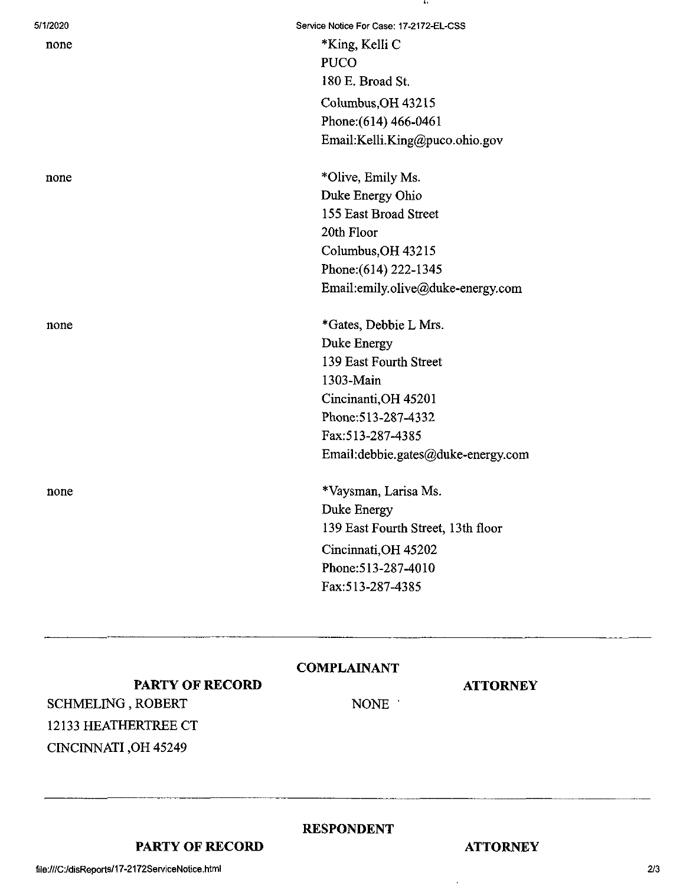| 5/1/2020 | Service Notice For Case: 17-2172-EL-CSS |
|----------|-----------------------------------------|
| none     | *King, Kelli C                          |
|          | <b>PUCO</b>                             |
|          | 180 E. Broad St.                        |
|          | Columbus, OH 43215                      |
|          | Phone: (614) 466-0461                   |
|          | Email:Kelli.King@puco.ohio.gov          |
| none     | *Olive, Emily Ms.                       |
|          | Duke Energy Ohio                        |
|          | 155 East Broad Street                   |
|          | 20th Floor                              |
|          | Columbus, OH 43215                      |
|          | Phone: (614) 222-1345                   |
|          | Email:emily.olive@duke-energy.com       |
| none     | *Gates, Debbie L Mrs.                   |
|          | Duke Energy                             |
|          | 139 East Fourth Street                  |
|          | 1303-Main                               |
|          | Cincinanti, OH 45201                    |
|          | Phone: 513-287-4332                     |
|          | Fax:513-287-4385                        |
|          | Email:debbie.gates@duke-energy.com      |
| none     | *Vaysman, Larisa Ms.                    |
|          | Duke Energy                             |
|          | 139 East Fourth Street, 13th floor      |
|          | Cincinnati, OH 45202                    |
|          | Phone: 513-287-4010                     |
|          | Fax:513-287-4385                        |
|          |                                         |

## **COMPLAINANT**

**RESPONDENT**

## **ATTORNEY**

**PARTY OF RECORD** SCHMELING, ROBERT 12133 HEATHERTREE CT CINCINNATI ,OH 45249

NONE '

**PARTY OF RECORD**

**ATTORNEY**

 $\epsilon$